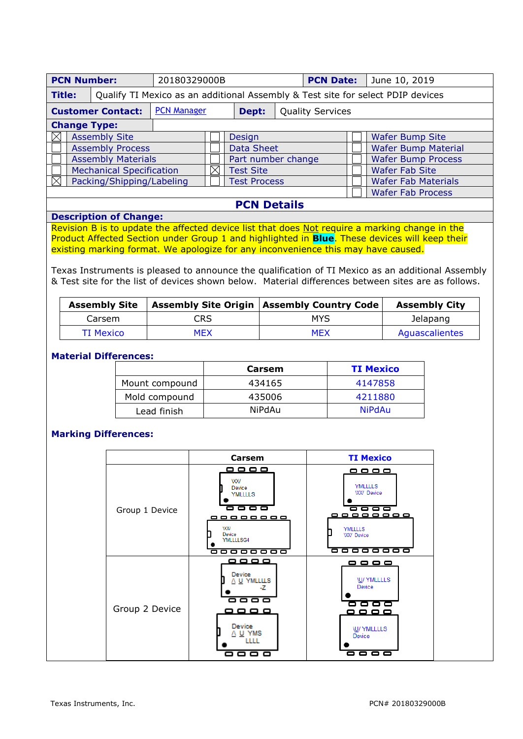| <b>PCN Number:</b>                                                                               |                                 | 20180329000B |  |                     |  | <b>PCN Date:</b>        |                          | June 10, 2019                                                                                       |  |  |
|--------------------------------------------------------------------------------------------------|---------------------------------|--------------|--|---------------------|--|-------------------------|--------------------------|-----------------------------------------------------------------------------------------------------|--|--|
| Qualify TI Mexico as an additional Assembly & Test site for select PDIP devices<br><b>Title:</b> |                                 |              |  |                     |  |                         |                          |                                                                                                     |  |  |
| <b>PCN Manager</b><br><b>Customer Contact:</b>                                                   |                                 |              |  | Dept:               |  | <b>Quality Services</b> |                          |                                                                                                     |  |  |
| <b>Change Type:</b>                                                                              |                                 |              |  |                     |  |                         |                          |                                                                                                     |  |  |
|                                                                                                  | <b>Assembly Site</b>            |              |  | Design              |  |                         |                          | <b>Wafer Bump Site</b>                                                                              |  |  |
|                                                                                                  | <b>Assembly Process</b>         |              |  | <b>Data Sheet</b>   |  |                         |                          | <b>Wafer Bump Material</b>                                                                          |  |  |
| <b>Assembly Materials</b>                                                                        |                                 |              |  | Part number change  |  |                         |                          | <b>Wafer Bump Process</b>                                                                           |  |  |
|                                                                                                  | <b>Mechanical Specification</b> |              |  | <b>Test Site</b>    |  |                         |                          | <b>Wafer Fab Site</b>                                                                               |  |  |
|                                                                                                  | Packing/Shipping/Labeling       |              |  | <b>Test Process</b> |  |                         |                          | <b>Wafer Fab Materials</b>                                                                          |  |  |
|                                                                                                  |                                 |              |  |                     |  |                         | <b>Wafer Fab Process</b> |                                                                                                     |  |  |
| <b>PCN Details</b>                                                                               |                                 |              |  |                     |  |                         |                          |                                                                                                     |  |  |
|                                                                                                  | <b>Description of Change:</b>   |              |  |                     |  |                         |                          |                                                                                                     |  |  |
|                                                                                                  |                                 |              |  |                     |  |                         |                          | Devision D in the world the following devise light that does Nature avenue a membine shapper in the |  |  |

Revision B is to update the affected device list that does Not require a marking change in the Product Affected Section under Group 1 and highlighted in **Blue**. These devices will keep their existing marking format. We apologize for any inconvenience this may have caused.

Texas Instruments is pleased to announce the qualification of TI Mexico as an additional Assembly & Test site for the list of devices shown below. Material differences between sites are as follows.

| <b>Assembly Site</b> |            | <b>Assembly Site Origin   Assembly Country Code  </b> | <b>Assembly City</b> |
|----------------------|------------|-------------------------------------------------------|----------------------|
| Carsem               | <b>CRS</b> | MYS                                                   | Jelapang             |
| TI Mexico            | MEX        | <b>MFX</b>                                            | Aguascalientes       |

## **Material Differences:**

|                | Carsem        | <b>TI Mexico</b> |
|----------------|---------------|------------------|
| Mount compound | 434165        | 4147858          |
| Mold compound  | 435006        | 4211880          |
| Lead finish    | <b>NiPdAu</b> | <b>NiPdAu</b>    |

### **Marking Differences:**

|                | Carsem                                                                                                                                                         | <b>TI Mexico</b>                                                                                                                   |
|----------------|----------------------------------------------------------------------------------------------------------------------------------------------------------------|------------------------------------------------------------------------------------------------------------------------------------|
| Group 1 Device | <u>----</u><br><b>VXV</b><br>Device<br><b>YMLLLLS</b><br><del>----</del><br><u>00000000</u><br><b>VXX/</b><br>Device<br><b>YMLLLLSG4</b><br><del>ooooooo</del> | <u>-----</u><br><b>YMLLLLS</b><br><b>WV</b> Device<br><del>----</del><br><b>YMLLLLS</b><br><b>WV</b> Device<br><del>--------</del> |
| Group 2 Device | ----<br>Device<br>A U YMLLLLS<br>-7<br>----<br>----<br>Device<br>A U YMS<br>LLLL<br>▭<br><b>. .</b>                                                            | ----<br><b>IU/ YMLLLLS</b><br>Device<br>----<br>----<br><b>IU/ YMLLLLS</b><br>Device<br>----                                       |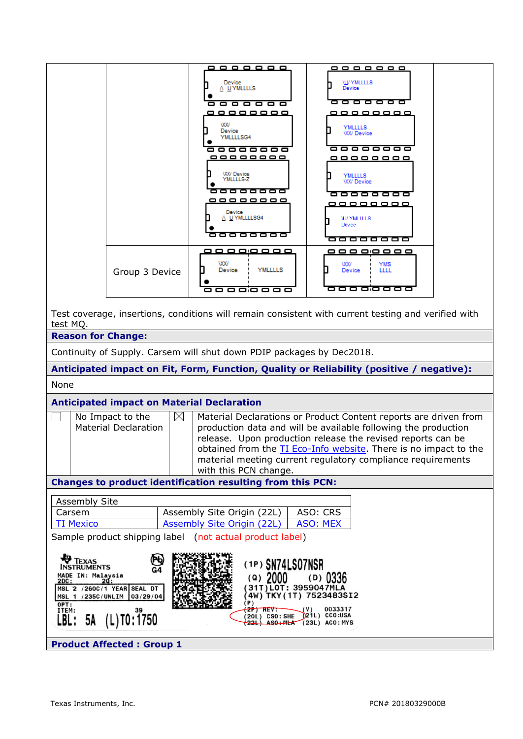|                                                                                                             |                                                                                        | -------                                                               | <u>--------</u>                                                                                                               |  |  |  |  |  |  |
|-------------------------------------------------------------------------------------------------------------|----------------------------------------------------------------------------------------|-----------------------------------------------------------------------|-------------------------------------------------------------------------------------------------------------------------------|--|--|--|--|--|--|
|                                                                                                             |                                                                                        | Device<br>A UYMLLLLS                                                  | <b>W/YMLLLLS</b><br>Device                                                                                                    |  |  |  |  |  |  |
|                                                                                                             |                                                                                        | <del>------</del>                                                     | -------                                                                                                                       |  |  |  |  |  |  |
|                                                                                                             |                                                                                        | wx                                                                    |                                                                                                                               |  |  |  |  |  |  |
|                                                                                                             |                                                                                        | Device<br><b>YMLLLLSG4</b>                                            | <b>YMLLLLS</b><br><b>WV Device</b>                                                                                            |  |  |  |  |  |  |
|                                                                                                             |                                                                                        | 888888                                                                | <del>------</del> --                                                                                                          |  |  |  |  |  |  |
|                                                                                                             |                                                                                        | <u>_________</u>                                                      | <u>________</u>                                                                                                               |  |  |  |  |  |  |
|                                                                                                             |                                                                                        | <b>WX/Device</b><br><b>YMITTIS</b> Z                                  | <b>YMLLLLS</b><br><b>WV Device</b>                                                                                            |  |  |  |  |  |  |
|                                                                                                             |                                                                                        | <del>888888</del>                                                     | --------<br><u>---------</u>                                                                                                  |  |  |  |  |  |  |
|                                                                                                             |                                                                                        | Device<br><b>NUYMLLLLSG4</b>                                          | <b>\U/ YMLLLLS</b>                                                                                                            |  |  |  |  |  |  |
|                                                                                                             |                                                                                        | 888888                                                                | <b>Device</b><br><del>ooooooo</del>                                                                                           |  |  |  |  |  |  |
|                                                                                                             |                                                                                        | <u>,,,,,,,,</u>                                                       | --------                                                                                                                      |  |  |  |  |  |  |
|                                                                                                             | Group 3 Device                                                                         | ww<br><b>YMLLLLS</b><br>Device                                        | ww<br>YMS<br>LLLL<br>Device                                                                                                   |  |  |  |  |  |  |
|                                                                                                             |                                                                                        | 888888                                                                | --------                                                                                                                      |  |  |  |  |  |  |
|                                                                                                             | test MQ.                                                                               |                                                                       | Test coverage, insertions, conditions will remain consistent with current testing and verified with                           |  |  |  |  |  |  |
|                                                                                                             | <b>Reason for Change:</b>                                                              |                                                                       |                                                                                                                               |  |  |  |  |  |  |
|                                                                                                             |                                                                                        | Continuity of Supply. Carsem will shut down PDIP packages by Dec2018. |                                                                                                                               |  |  |  |  |  |  |
|                                                                                                             |                                                                                        |                                                                       | Anticipated impact on Fit, Form, Function, Quality or Reliability (positive / negative):                                      |  |  |  |  |  |  |
| None                                                                                                        |                                                                                        |                                                                       |                                                                                                                               |  |  |  |  |  |  |
|                                                                                                             | <b>Anticipated impact on Material Declaration</b>                                      |                                                                       |                                                                                                                               |  |  |  |  |  |  |
|                                                                                                             | $\boxtimes$<br>No Impact to the                                                        |                                                                       | Material Declarations or Product Content reports are driven from                                                              |  |  |  |  |  |  |
|                                                                                                             | <b>Material Declaration</b>                                                            |                                                                       | production data and will be available following the production<br>release. Upon production release the revised reports can be |  |  |  |  |  |  |
|                                                                                                             |                                                                                        |                                                                       | obtained from the TI Eco-Info website. There is no impact to the                                                              |  |  |  |  |  |  |
|                                                                                                             |                                                                                        | with this PCN change.                                                 | material meeting current regulatory compliance requirements                                                                   |  |  |  |  |  |  |
|                                                                                                             |                                                                                        | Changes to product identification resulting from this PCN:            |                                                                                                                               |  |  |  |  |  |  |
|                                                                                                             | <b>Assembly Site</b>                                                                   |                                                                       |                                                                                                                               |  |  |  |  |  |  |
|                                                                                                             | Carsem                                                                                 | Assembly Site Origin (22L)                                            | ASO: CRS                                                                                                                      |  |  |  |  |  |  |
|                                                                                                             | <b>ASO: MEX</b><br><b>TI Mexico</b><br><b>Assembly Site Origin (22L)</b>               |                                                                       |                                                                                                                               |  |  |  |  |  |  |
| Sample product shipping label (not actual product label)                                                    |                                                                                        |                                                                       |                                                                                                                               |  |  |  |  |  |  |
|                                                                                                             | <b>V</b> TEXAS<br>(1P) SN74LS07NSR                                                     |                                                                       |                                                                                                                               |  |  |  |  |  |  |
| <b>INSTRUMENTS</b><br>G4<br><b>MADE IN: Malaysia</b><br>(a) 2000<br>$(D)$ 0336<br>2DC:<br>2Q:               |                                                                                        |                                                                       |                                                                                                                               |  |  |  |  |  |  |
| 31T) LOT: 3959047MLA<br>MSL 2 /260C/1 YEAR SEAL DT<br>4W) TKY (1T) 7523483SI2<br>MSL 1 /235C/UNLIM 03/29/04 |                                                                                        |                                                                       |                                                                                                                               |  |  |  |  |  |  |
|                                                                                                             | (P)<br>OPT:<br>$2P)$ REV:<br>0033317<br>(V)<br>ITEM:<br>39                             |                                                                       |                                                                                                                               |  |  |  |  |  |  |
|                                                                                                             | 20L) CSO: SHE (21L) CCO:USA<br>5A (L)TO: 1750<br>LBL :<br>22L) ASO: MLA (23L) ACO: MYS |                                                                       |                                                                                                                               |  |  |  |  |  |  |
|                                                                                                             | <b>Product Affected: Group 1</b>                                                       |                                                                       |                                                                                                                               |  |  |  |  |  |  |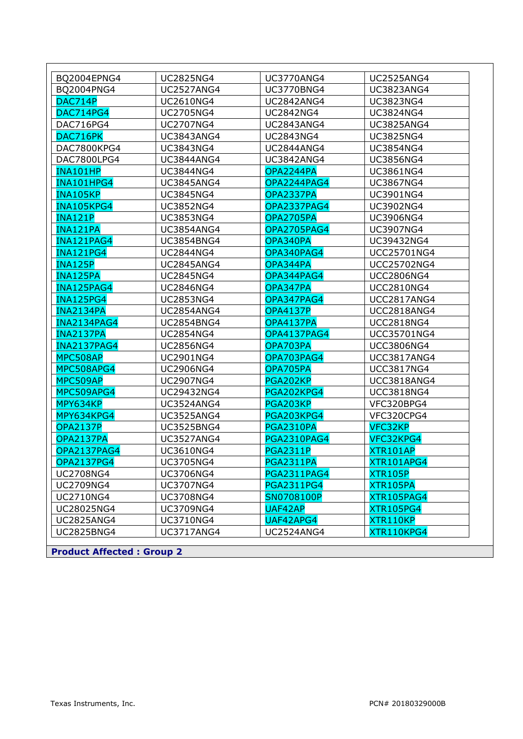| BQ2004EPNG4                      | <b>UC2825NG4</b>  | <b>UC3770ANG4</b>  | <b>UC2525ANG4</b>  |
|----------------------------------|-------------------|--------------------|--------------------|
| BQ2004PNG4                       | <b>UC2527ANG4</b> | <b>UC3770BNG4</b>  | <b>UC3823ANG4</b>  |
| DAC714P                          | <b>UC2610NG4</b>  | <b>UC2842ANG4</b>  | <b>UC3823NG4</b>   |
| <b>DAC714PG4</b>                 | <b>UC2705NG4</b>  | <b>UC2842NG4</b>   | <b>UC3824NG4</b>   |
| DAC716PG4                        | <b>UC2707NG4</b>  | <b>UC2843ANG4</b>  | <b>UC3825ANG4</b>  |
| DAC716PK                         | <b>UC3843ANG4</b> | <b>UC2843NG4</b>   | <b>UC3825NG4</b>   |
| DAC7800KPG4                      | <b>UC3843NG4</b>  | <b>UC2844ANG4</b>  | <b>UC3854NG4</b>   |
| DAC7800LPG4                      | <b>UC3844ANG4</b> | <b>UC3842ANG4</b>  | <b>UC3856NG4</b>   |
| <b>INA101HP</b>                  | <b>UC3844NG4</b>  | OPA2244PA          | <b>UC3861NG4</b>   |
| INA101HPG4                       | <b>UC3845ANG4</b> | OPA2244PAG4        | <b>UC3867NG4</b>   |
| <b>INA105KP</b>                  | <b>UC3845NG4</b>  | OPA2337PA          | UC3901NG4          |
| INA105KPG4                       | <b>UC3852NG4</b>  | <b>OPA2337PAG4</b> | <b>UC3902NG4</b>   |
| <b>INA121P</b>                   | <b>UC3853NG4</b>  | OPA2705PA          | <b>UC3906NG4</b>   |
| <b>INA121PA</b>                  | <b>UC3854ANG4</b> | <b>OPA2705PAG4</b> | <b>UC3907NG4</b>   |
| INA121PAG4                       | <b>UC3854BNG4</b> | OPA340PA           | UC39432NG4         |
| <b>INA121PG4</b>                 | <b>UC2844NG4</b>  | OPA340PAG4         | UCC25701NG4        |
| <b>INA125P</b>                   | <b>UC2845ANG4</b> | OPA344PA           | <b>UCC25702NG4</b> |
| <b>INA125PA</b>                  | <b>UC2845NG4</b>  | OPA344PAG4         | <b>UCC2806NG4</b>  |
| INA125PAG4                       | <b>UC2846NG4</b>  | OPA347PA           | <b>UCC2810NG4</b>  |
| <b>INA125PG4</b>                 | <b>UC2853NG4</b>  | OPA347PAG4         | UCC2817ANG4        |
| <b>INA2134PA</b>                 | <b>UC2854ANG4</b> | <b>OPA4137P</b>    | UCC2818ANG4        |
| <b>INA2134PAG4</b>               | <b>UC2854BNG4</b> | <b>OPA4137PA</b>   | <b>UCC2818NG4</b>  |
| <b>INA2137PA</b>                 | <b>UC2854NG4</b>  | OPA4137PAG4        | <b>UCC35701NG4</b> |
| <b>INA2137PAG4</b>               | <b>UC2856NG4</b>  | OPA703PA           | <b>UCC3806NG4</b>  |
| MPC508AP                         | <b>UC2901NG4</b>  | OPA703PAG4         | UCC3817ANG4        |
| MPC508APG4                       | <b>UC2906NG4</b>  | OPA705PA           | <b>UCC3817NG4</b>  |
| MPC509AP                         | <b>UC2907NG4</b>  | PGA202KP           | UCC3818ANG4        |
| MPC509APG4                       | UC29432NG4        | PGA202KPG4         | <b>UCC3818NG4</b>  |
| MPY634KP                         | <b>UC3524ANG4</b> | PGA203KP           | VFC320BPG4         |
| MPY634KPG4                       | <b>UC3525ANG4</b> | PGA203KPG4         | VFC320CPG4         |
| <b>OPA2137P</b>                  | <b>UC3525BNG4</b> | <b>PGA2310PA</b>   | VFC32KP            |
| <b>OPA2137PA</b>                 | <b>UC3527ANG4</b> | <b>PGA2310PAG4</b> | VFC32KPG4          |
| OPA2137PAG4                      | <b>UC3610NG4</b>  | <b>PGA2311P</b>    | XTR101AP           |
| <b>OPA2137PG4</b>                | UC3705NG4         | <b>PGA2311PA</b>   | XTR101APG4         |
| <b>UC2708NG4</b>                 | UC3706NG4         | <b>PGA2311PAG4</b> | <b>XTR105P</b>     |
| <b>UC2709NG4</b>                 | <b>UC3707NG4</b>  | <b>PGA2311PG4</b>  | XTR105PA           |
| <b>UC2710NG4</b>                 | <b>UC3708NG4</b>  | SN0708100P         | XTR105PAG4         |
| UC28025NG4                       | UC3709NG4         | UAF42AP            | <b>XTR105PG4</b>   |
| <b>UC2825ANG4</b>                | <b>UC3710NG4</b>  | UAF42APG4          | XTR110KP           |
| <b>UC2825BNG4</b>                | <b>UC3717ANG4</b> | <b>UC2524ANG4</b>  | XTR110KPG4         |
|                                  |                   |                    |                    |
| <b>Product Affected: Group 2</b> |                   |                    |                    |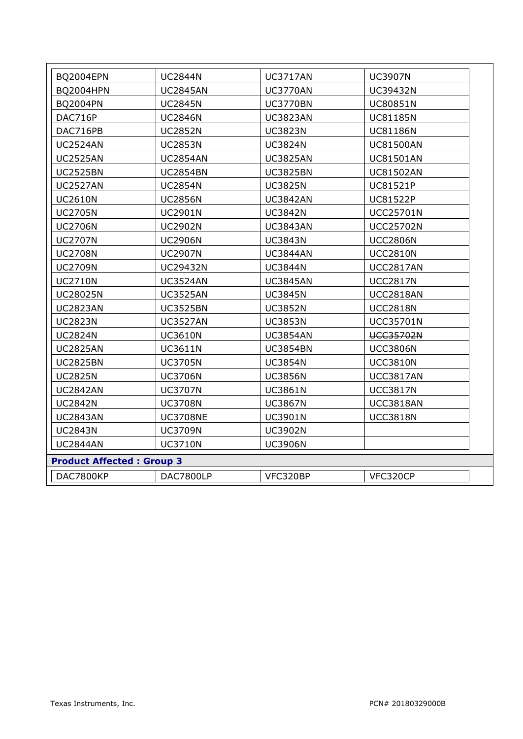| <b>BQ2004EPN</b>                  | <b>UC3717AN</b>  |
|-----------------------------------|------------------|
| <b>UC2844N</b>                    | <b>UC3907N</b>   |
| <b>BQ2004HPN</b>                  | <b>UC3770AN</b>  |
| <b>UC2845AN</b>                   | <b>UC39432N</b>  |
| BQ2004PN                          | <b>UC3770BN</b>  |
| <b>UC2845N</b>                    | <b>UC80851N</b>  |
| DAC716P                           | UC81185N         |
| <b>UC2846N</b>                    | <b>UC3823AN</b>  |
| DAC716PB                          | <b>UC3823N</b>   |
| <b>UC2852N</b>                    | <b>UC81186N</b>  |
| <b>UC2524AN</b>                   | <b>UC3824N</b>   |
| <b>UC2853N</b>                    | <b>UC81500AN</b> |
| <b>UC2525AN</b>                   | <b>UC3825AN</b>  |
| <b>UC2854AN</b>                   | <b>UC81501AN</b> |
| <b>UC2525BN</b>                   | <b>UC3825BN</b>  |
| <b>UC2854BN</b>                   | <b>UC81502AN</b> |
| <b>UC2527AN</b>                   | <b>UC3825N</b>   |
| <b>UC2854N</b>                    | <b>UC81521P</b>  |
| <b>UC2610N</b>                    | <b>UC3842AN</b>  |
| <b>UC2856N</b>                    | <b>UC81522P</b>  |
| <b>UC2705N</b>                    | <b>UC3842N</b>   |
| <b>UC2901N</b>                    | <b>UCC25701N</b> |
| <b>UC2706N</b>                    | <b>UC3843AN</b>  |
| <b>UC2902N</b>                    | <b>UCC25702N</b> |
| <b>UC2707N</b>                    | <b>UC3843N</b>   |
| <b>UC2906N</b>                    | <b>UCC2806N</b>  |
| <b>UC2708N</b>                    | <b>UC3844AN</b>  |
| <b>UC2907N</b>                    | <b>UCC2810N</b>  |
| <b>UC2709N</b>                    | <b>UC3844N</b>   |
| <b>UC29432N</b>                   | <b>UCC2817AN</b> |
| <b>UC3524AN</b>                   | <b>UC3845AN</b>  |
| <b>UC2710N</b>                    | <b>UCC2817N</b>  |
| <b>UC28025N</b>                   | <b>UC3845N</b>   |
| <b>UC3525AN</b>                   | <b>UCC2818AN</b> |
| <b>UC3525BN</b>                   | <b>UC3852N</b>   |
| <b>UC2823AN</b>                   | <b>UCC2818N</b>  |
| <b>UC2823N</b>                    | <b>UC3853N</b>   |
| <b>UC3527AN</b>                   | <b>UCC35701N</b> |
| <b>UC2824N</b>                    | <b>UC3854AN</b>  |
| <b>UC3610N</b>                    | <b>UCC35702N</b> |
| <b>UC2825AN</b>                   | <b>UC3854BN</b>  |
| <b>UC3611N</b>                    | <b>UCC3806N</b>  |
| <b>UC3705N</b>                    | <b>UC3854N</b>   |
| <b>UC2825BN</b>                   | <b>UCC3810N</b>  |
| <b>UC2825N</b>                    | <b>UC3856N</b>   |
| <b>UC3706N</b>                    | <b>UCC3817AN</b> |
| <b>UC2842AN</b>                   | <b>UC3861N</b>   |
| <b>UC3707N</b>                    | <b>UCC3817N</b>  |
| <b>UC3708N</b>                    | <b>UC3867N</b>   |
| <b>UC2842N</b>                    | <b>UCC3818AN</b> |
| <b>UC3708NE</b>                   | <b>UCC3818N</b>  |
| <b>UC2843AN</b>                   | <b>UC3901N</b>   |
| <b>UC3709N</b><br><b>UC2843N</b>  | <b>UC3902N</b>   |
| <b>UC2844AN</b><br><b>UC3710N</b> | <b>UC3906N</b>   |
| <b>Product Affected: Group 3</b>  |                  |
| DAC7800KP                         | VFC320BP         |
| DAC7800LP                         | VFC320CP         |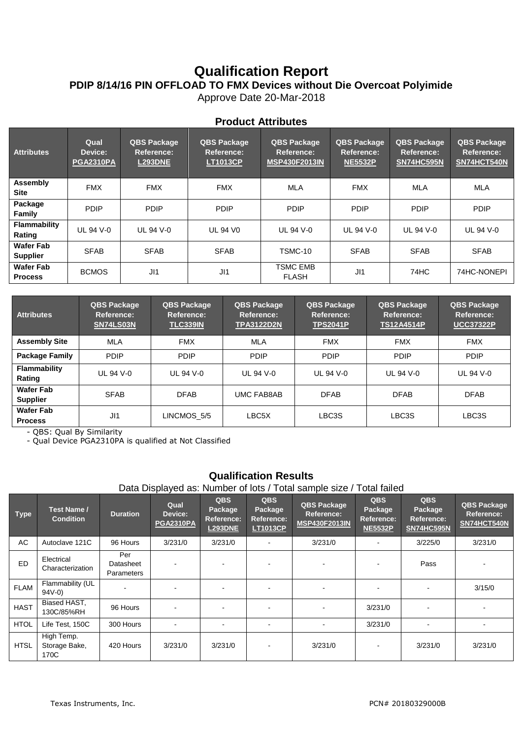# **Qualification Report PDIP 8/14/16 PIN OFFLOAD TO FMX Devices without Die Overcoat Polyimide**

Approve Date 20-Mar-2018

| <b>Attributes</b>                   | Qual<br>Device:<br><b>PGA2310PA</b> | <b>QBS Package</b><br>Reference:<br><b>L293DNE</b> | QBS Package<br>Reference:<br><b>LT1013CP</b> | <b>QBS Package</b><br>Reference:<br><b>MSP430F2013IN</b> | QBS Package<br>Reference:<br><b>NE5532P</b> | <b>QBS Package</b><br>Reference:<br>SN74HC595N | QBS Package<br>Reference:<br>SN74HCT540N |
|-------------------------------------|-------------------------------------|----------------------------------------------------|----------------------------------------------|----------------------------------------------------------|---------------------------------------------|------------------------------------------------|------------------------------------------|
| Assembly<br><b>Site</b>             | <b>FMX</b>                          | <b>FMX</b>                                         | <b>FMX</b>                                   | MLA                                                      | <b>FMX</b>                                  | MLA                                            | MLA                                      |
| Package<br>Family                   | <b>PDIP</b>                         | <b>PDIP</b>                                        | <b>PDIP</b>                                  | <b>PDIP</b>                                              | <b>PDIP</b>                                 | <b>PDIP</b>                                    | <b>PDIP</b>                              |
| <b>Flammability</b><br>Rating       | UL 94 V-0                           | UL 94 V-0                                          | <b>UL 94 V0</b>                              | UL 94 V-0                                                | UL 94 V-0                                   | UL 94 V-0                                      | UL 94 V-0                                |
| <b>Wafer Fab</b><br><b>Supplier</b> | <b>SFAB</b>                         | <b>SFAB</b>                                        | <b>SFAB</b>                                  | TSMC-10                                                  | <b>SFAB</b>                                 | <b>SFAB</b>                                    | <b>SFAB</b>                              |
| <b>Wafer Fab</b><br><b>Process</b>  | <b>BCMOS</b>                        | J11                                                | J11                                          | <b>TSMC EMB</b><br><b>FLASH</b>                          | J11                                         | 74HC                                           | 74HC-NONEPI                              |

| <b>Attributes</b>                   | <b>QBS Package</b><br>Reference:<br>SN74LS03N |             | <b>QBS Package</b><br><b>QBS Package</b><br><b>Reference:</b><br>Reference:<br><b>TLC339IN</b><br><b>TPA3122D2N</b> |             | <b>QBS Package</b><br>Reference:<br><b>TS12A4514P</b> | <b>QBS Package</b><br>Reference:<br><b>UCC37322P</b> |
|-------------------------------------|-----------------------------------------------|-------------|---------------------------------------------------------------------------------------------------------------------|-------------|-------------------------------------------------------|------------------------------------------------------|
| <b>Assembly Site</b>                | MLA                                           | <b>FMX</b>  | MLA                                                                                                                 | <b>FMX</b>  | <b>FMX</b>                                            | <b>FMX</b>                                           |
| <b>Package Family</b>               | <b>PDIP</b>                                   | <b>PDIP</b> | <b>PDIP</b>                                                                                                         | <b>PDIP</b> | <b>PDIP</b>                                           | <b>PDIP</b>                                          |
| <b>Flammability</b><br>Rating       | UL 94 V-0                                     | UL 94 V-0   | UL 94 V-0                                                                                                           | UL 94 V-0   | <b>UL 94 V-0</b>                                      | UL 94 V-0                                            |
| <b>Wafer Fab</b><br><b>Supplier</b> | <b>SFAB</b>                                   | <b>DFAB</b> | <b>UMC FAB8AB</b>                                                                                                   | <b>DFAB</b> | <b>DFAB</b>                                           | <b>DFAB</b>                                          |
| <b>Wafer Fab</b><br><b>Process</b>  | J11                                           | LINCMOS 5/5 | LBC5X                                                                                                               | LBC3S       | LBC3S                                                 | LBC3S                                                |

- QBS: Qual By Similarity

- Qual Device PGA2310PA is qualified at Not Classified

## **Qualification Results**

Data Displayed as: Number of lots / Total sample size / Total failed

| <b>Type</b> | Test Name /<br><b>Condition</b>     | <b>Duration</b>                | Qual<br>Device:<br><b>PGA2310PA</b> | <b>QBS</b><br>Package<br><b>Reference:</b><br><b>L293DNE</b> | <b>QBS</b><br>Package<br>Reference:<br><b>LT1013CP</b> | <b>QBS Package</b><br>Reference:<br><b>MSP430F2013IN</b> | <b>QBS</b><br>Package<br>Reference:<br><b>NE5532P</b> | <b>QBS</b><br>Package<br><b>Reference:</b><br><b>SN74HC595N</b> | <b>QBS Package</b><br>Reference:<br>SN74HCT540N |
|-------------|-------------------------------------|--------------------------------|-------------------------------------|--------------------------------------------------------------|--------------------------------------------------------|----------------------------------------------------------|-------------------------------------------------------|-----------------------------------------------------------------|-------------------------------------------------|
| AC          | Autoclave 121C                      | 96 Hours                       | 3/231/0                             | 3/231/0                                                      | $\overline{\phantom{0}}$                               | 3/231/0                                                  | $\blacksquare$                                        | 3/225/0                                                         | 3/231/0                                         |
| ED          | Electrical<br>Characterization      | Per<br>Datasheet<br>Parameters | $\overline{\phantom{a}}$            |                                                              |                                                        | $\blacksquare$                                           |                                                       | Pass                                                            |                                                 |
| <b>FLAM</b> | Flammability (UL<br>$94V-0$         |                                | $\overline{\phantom{a}}$            |                                                              |                                                        | $\blacksquare$                                           |                                                       |                                                                 | 3/15/0                                          |
| <b>HAST</b> | Biased HAST,<br>130C/85%RH          | 96 Hours                       | $\overline{\phantom{a}}$            | $\blacksquare$                                               |                                                        | $\blacksquare$                                           | 3/231/0                                               |                                                                 |                                                 |
| <b>HTOL</b> | Life Test, 150C                     | 300 Hours                      | $\overline{\phantom{a}}$            |                                                              |                                                        | $\blacksquare$                                           | 3/231/0                                               |                                                                 |                                                 |
| <b>HTSL</b> | High Temp.<br>Storage Bake,<br>170C | 420 Hours                      | 3/231/0                             | 3/231/0                                                      |                                                        | 3/231/0                                                  | $\blacksquare$                                        | 3/231/0                                                         | 3/231/0                                         |